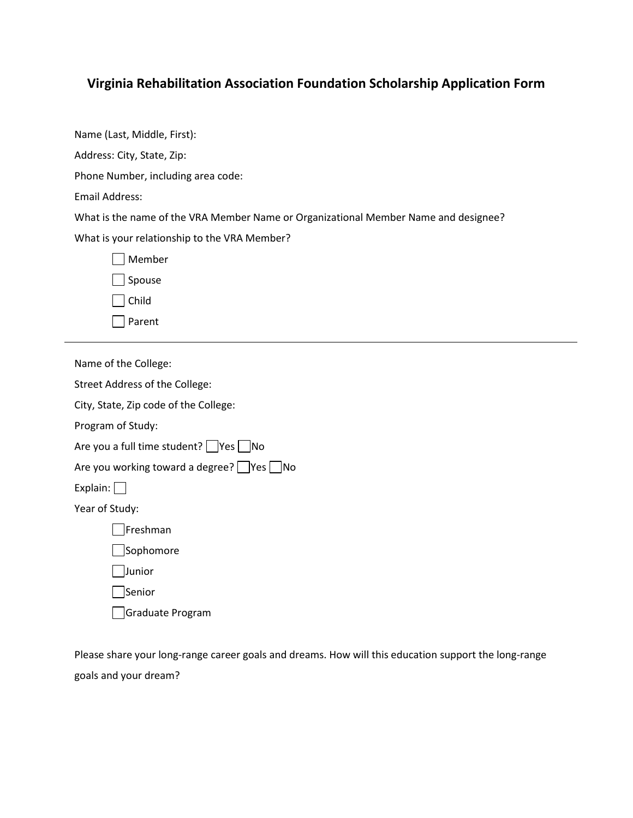## **Virginia Rehabilitation Association Foundation Scholarship Application Form**

Name (Last, Middle, First): Address: City, State, Zip: Phone Number, including area code:

Email Address:

What is the name of the VRA Member Name or Organizational Member Name and designee?

What is your relationship to the VRA Member?

| Member        |  |
|---------------|--|
| $\Box$ Spouse |  |
| $ $ $ $ Child |  |

 $\Box$  Parent

Name of the College:

Street Address of the College:

City, State, Zip code of the College:

Program of Study:

Are you a full time student?  $\Box$  Yes  $\Box$  No

Are you working toward a degree?  $\Box$  Yes  $\Box$  No

Explain:  $\Box$ 

Year of Study:

Freshman

**Sophomore** 

Junior

Senior

Graduate Program

Please share your long-range career goals and dreams. How will this education support the long-range goals and your dream?